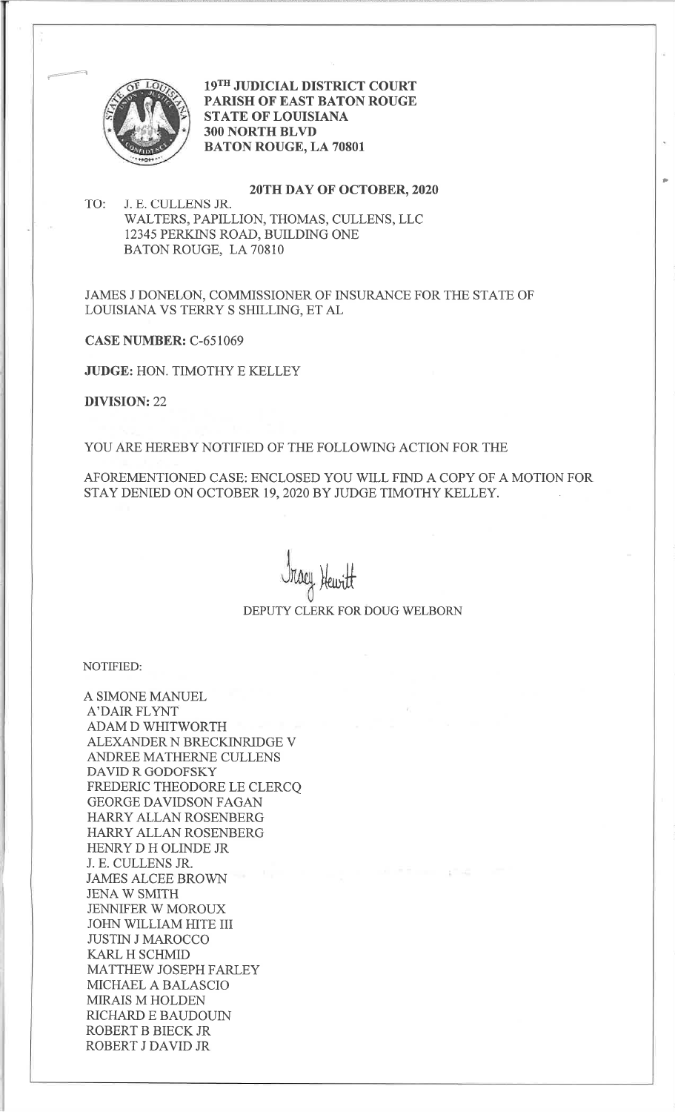

19TH JUDICIAL DISTRICT COURT PARISH OF EAST BATON ROUGE STATE OF LOUISIANA 3OO NORTH BLVD BATON ROUGE, LA <sup>70801</sup>

)

20TH DAY OF OCTOBER, 2020<br>TO: J. E. CULLENS JR. WALTERS, PAPILLION, THOMAS, CULLENS, LLC 12345 PERKINS ROAD, BUILDING ONE BATON ROUGE, LA 70810

JAMES J DONELON, COMMISSIONER OF INSURANCE FOR THE STATE OF LOUISIANA VS TERRY S SHILLING, ET AL

CASE NUMBER: C-651069

JUDGE: HON. TIMOTHY E KELLEY

DIVISION:22

YOU ARE HEREBY NOTIFIED OF THE FOLLOWING ACTION FOR THE

AFOREMENTIONED CASE: ENCLOSED YOU WILL FIND A COPY OF A MOTION FOR STAY DENIED ON OCTOBER 19, 2O2OBY JUDGE TIMOTHY KELLEY.

> <u>Heuritt</u> DEPUTY CLERK FOR DOUG WELBORN

NOTIFIED:

A SIMONE MANUEL A'DAIR FLYNT ADAM D WHITWORTH ALEXANDER N BRECKINRIDGE V ANDREE MATHERNE CULLENS DAVID R GODOFSKY FREDERIC THEODORE LE CLERCQ GEORGE DAVIDSON FAGAN HARRY ALLAN ROSENBERG HARRY ALLAN ROSENBERG HENRY D H OLINDE JR J. E. CULLENS JR. JAMES ALCEE BROWN JENA W SMITH JENNIFER W MOROUX JOHN WILLIAM HITE III JUSTIN J MAROCCO KARL H SCHMID MATTHEW JOSEPH FARLEY MICHAEL A BALASCIO MIRAIS M HOLDEN RICHARD E BAUDOUIN ROBERT B BIECK JR ROBERT J DAVID JR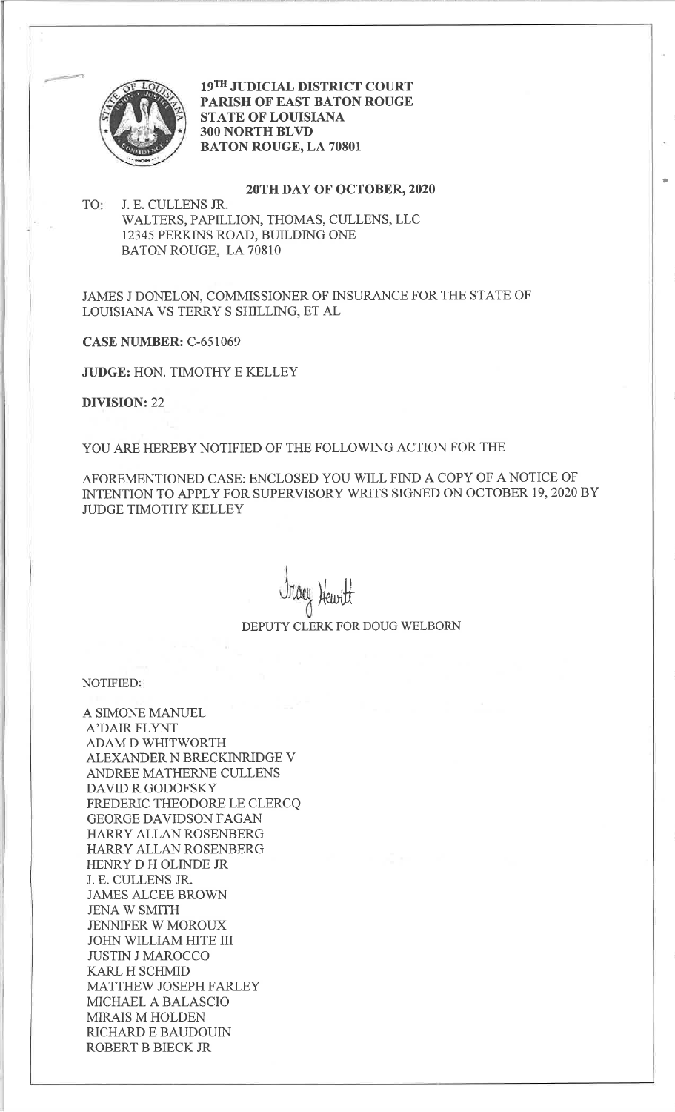

19TH JUDICIAL DISTRICT COURT PARISH OF EAST BATON ROUGE STATE OF LOUISIANA 3OO NORTH BLVD BATON ROUGE, LA <sup>70801</sup>

### 2OTH DAY OF OCTOBER,2O2O

t

TO J. E. CULLENS JR. WALTERS, PAPILLION, THOMAS, CULLENS, LLC 12345 PERKINS ROAD, BUILDING ONE BATON ROUGE, LA 70810

JAMES J DONELON, COMMISSIONER OF INSURANCE FOR THE STATE OF LOUISIANA VS TERRY S SHILLING, ET AL

CASE NUMBER: C-651069

JUDGE: HON. TIMOTHY E KELLEY

DIVISION:22

YOU ARE HEREBY NOTIFIED OF THE FOLLOWING ACTION FOR THE

AFOREMENTIONED CASE: ENCLOSED YOU WLL FIND A COPY OF A NOTICE OF INTENTION TO APPLY FOR SUPERVISORY WRITS SIGNED ON OCTOBER 19, 2020 BY JUDGE TIMOTHY KELLEY

Heuritt DEPUTY CLERK FOR DOUG WELBORN

NOTIFIED

A SIMONE MANUEL A'DAIR FLYNT ADAM D WHITWORTH ALEXANDER N BRECKINzuDGE V ANDREE MATHERNE CULLENS DAVID R GODOFSKY FREDERIC THEODORE LE CLERCQ GEORGE DAVIDSON FAGAN HARRY ALLAN ROSENBERG HARRY ALLAN ROSENBERG HENRY D H OLINDE JR J. E. CULLENS JR. JAMES ALCEE BROWN JENA W SMITH JENNIFER W MOROUX JOHN WILLIAM HITE III JUSTIN J MAROCCO KARL H SCHMID MATTHEW JOSEPH FARLEY MICHAEL A BALASCIO MIRAIS M HOLDEN RICHARD E BAUDOUIN ROBERT B BIECK JR